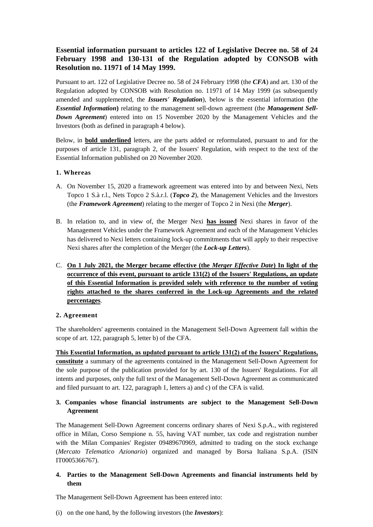# **Essential information pursuant to articles 122 of Legislative Decree no. 58 of 24 February 1998 and 130-131 of the Regulation adopted by CONSOB with Resolution no. 11971 of 14 May 1999.**

Pursuant to art. 122 of Legislative Decree no. 58 of 24 February 1998 (the *CFA*) and art. 130 of the Regulation adopted by CONSOB with Resolution no. 11971 of 14 May 1999 (as subsequently amended and supplemented, the *Issuers' Regulation*), below is the essential information **(**the *Essential Information***)** relating to the management sell-down agreement (the *Management Sell-Down Agreement*) entered into on 15 November 2020 by the Management Vehicles and the Investors (both as defined in paragraph 4 below).

Below, in **bold underlined** letters, are the parts added or reformulated, pursuant to and for the purposes of article 131, paragraph 2, of the Issuers' Regulation, with respect to the text of the Essential Information published on 20 November 2020.

# **1. Whereas**

- A. On November 15, 2020 a framework agreement was entered into by and between Nexi, Nets Topco 1 S.à r.l., Nets Topco 2 S.à.r.l. (*Topco 2*), the Management Vehicles and the Investors (the *Framework Agreement*) relating to the merger of Topco 2 in Nexi (the *Merger*).
- B. In relation to, and in view of, the Merger Nexi **has issued** Nexi shares in favor of the Management Vehicles under the Framework Agreement and each of the Management Vehicles has delivered to Nexi letters containing lock-up commitments that will apply to their respective Nexi shares after the completion of the Merger (the *Lock-up Letters*).
- C. **On 1 July 2021, the Merger became effective (the** *Merger Effective Date***) In light of the occurrence of this event, pursuant to article 131(2) of the Issuers' Regulations, an update of this Essential Information is provided solely with reference to the number of voting rights attached to the shares conferred in the Lock-up Agreements and the related percentages**.

# **2. Agreement**

The shareholders' agreements contained in the Management Sell-Down Agreement fall within the scope of art. 122, paragraph 5, letter b) of the CFA.

**This Essential Information, as updated pursuant to article 131(2) of the Issuers' Regulations, constitute** a summary of the agreements contained in the Management Sell-Down Agreement for the sole purpose of the publication provided for by art. 130 of the Issuers' Regulations. For all intents and purposes, only the full text of the Management Sell-Down Agreement as communicated and filed pursuant to art. 122, paragraph 1, letters a) and c) of the CFA is valid.

# **3. Companies whose financial instruments are subject to the Management Sell-Down Agreement**

The Management Sell-Down Agreement concerns ordinary shares of Nexi S.p.A., with registered office in Milan, Corso Sempione n. 55, having VAT number, tax code and registration number with the Milan Companies' Register 09489670969, admitted to trading on the stock exchange (*Mercato Telematico Azionario*) organized and managed by Borsa Italiana S.p.A. (ISIN IT0005366767).

# **4. Parties to the Management Sell-Down Agreements and financial instruments held by them**

The Management Sell-Down Agreement has been entered into:

(i) on the one hand, by the following investors (the *Investors*):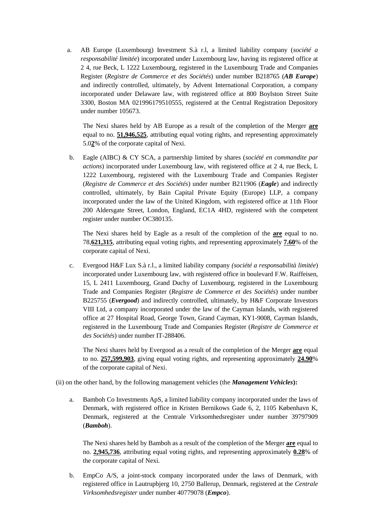a. AB Europe (Luxembourg) Investment S.à r.l, a limited liability company (*société a responsabilité limitée*) incorporated under Luxembourg law, having its registered office at 2 4, rue Beck, L 1222 Luxembourg, registered in the Luxembourg Trade and Companies Register (*Registre de Commerce et des Sociétés*) under number B218765 (*AB Europe*) and indirectly controlled, ultimately, by Advent International Corporation, a company incorporated under Delaware law, with registered office at 800 Boylston Street Suite 3300, Boston MA 021996179510555, registered at the Central Registration Depository under number 105673.

The Nexi shares held by AB Europe as a result of the completion of the Merger **are** equal to no. **51,946,525**, attributing equal voting rights, and representing approximately 5.0**2**% of the corporate capital of Nexi.

b. Eagle (AIBC) & CY SCA, a partnership limited by shares (*société en commandite par actions*) incorporated under Luxembourg law, with registered office at 2 4, rue Beck, L 1222 Luxembourg, registered with the Luxembourg Trade and Companies Register (*Registre de Commerce et des Sociétés*) under number B211906 (*Eagle*) and indirectly controlled, ultimately, by Bain Capital Private Equity (Europe) LLP, a company incorporated under the law of the United Kingdom, with registered office at 11th Floor 200 Aldersgate Street, London, England, EC1A 4HD, registered with the competent register under number OC380135.

The Nexi shares held by Eagle as a result of the completion of the **are** equal to no. 78,**621,315**, attributing equal voting rights, and representing approximately **7.60**% of the corporate capital of Nexi.

c. Evergood H&F Lux S.à r.l., a limited liability company *(société a responsabilità limitée*) incorporated under Luxembourg law, with registered office in boulevard F.W. Raiffeisen, 15, L 2411 Luxembourg, Grand Duchy of Luxembourg, registered in the Luxembourg Trade and Companies Register (*Registre de Commerce et des Sociétés*) under number B225755 (*Evergood*) and indirectly controlled, ultimately, by H&F Corporate Investors VIII Ltd, a company incorporated under the law of the Cayman Islands, with registered office at 27 Hospital Road, George Town, Grand Cayman, KY1-9008, Cayman Islands, registered in the Luxembourg Trade and Companies Register (*Registre de Commerce et des Sociétés*) under number IT-288406.

The Nexi shares held by Evergood as a result of the completion of the Merger **are** equal to no. **257,599,903**, giving equal voting rights, and representing approximately **24.90**% of the corporate capital of Nexi.

(ii) on the other hand, by the following management vehicles (the *Management Vehicles***):**

a. Bamboh Co Investments ApS, a limited liability company incorporated under the laws of Denmark, with registered office in Kristen Bernikows Gade 6, 2, 1105 København K, Denmark, registered at the Centrale Virksomhedsregister under number 39797909 (*Bamboh*).

The Nexi shares held by Bamboh as a result of the completion of the Merger **are** equal to no. **2,945,736**, attributing equal voting rights, and representing approximately **0.28**% of the corporate capital of Nexi.

b. EmpCo A/S, a joint-stock company incorporated under the laws of Denmark, with registered office in Lautrupbjerg 10, 2750 Ballerup, Denmark, registered at the *Centrale Virksomhedsregister* under number 40779078 (*Empco*).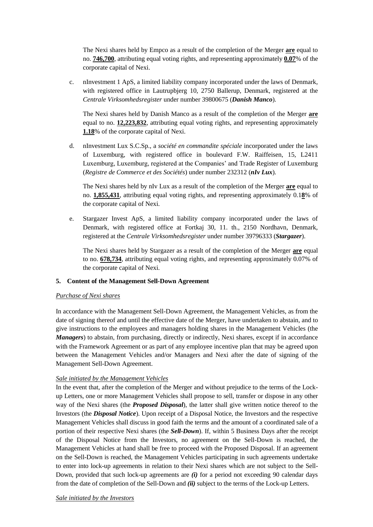The Nexi shares held by Empco as a result of the completion of the Merger **are** equal to no. **746,700**, attributing equal voting rights, and representing approximately **0.07**% of the corporate capital of Nexi.

c. nInvestment 1 ApS, a limited liability company incorporated under the laws of Denmark, with registered office in Lautrupbjerg 10, 2750 Ballerup, Denmark, registered at the *Centrale Virksomhedsregister* under number 39800675 (*Danish Manco*).

The Nexi shares held by Danish Manco as a result of the completion of the Merger **are** equal to no. **12,223,832**, attributing equal voting rights, and representing approximately **1.18**% of the corporate capital of Nexi.

d. nInvestment Lux S.C.Sp., a *société en commandite spéciale* incorporated under the laws of Luxemburg, with registered office in boulevard F.W. Raiffeisen, 15, L2411 Luxemburg, Luxemburg, registered at the Companies' and Trade Register of Luxemburg (*Registre de Commerce et des Sociétés*) under number 232312 (*nIv Lux*).

The Nexi shares held by nIv Lux as a result of the completion of the Merger **are** equal to no. **1,855,431**, attributing equal voting rights, and representing approximately 0.1**8**% of the corporate capital of Nexi.

e. Stargazer Invest ApS, a limited liability company incorporated under the laws of Denmark, with registered office at Fortkaj 30, 11. th., 2150 Nordhavn, Denmark, registered at the *Centrale Virksomhedsregister* under number 39796333 (*Stargazer*).

The Nexi shares held by Stargazer as a result of the completion of the Merger **are** equal to no. **678,734**, attributing equal voting rights, and representing approximately 0.07% of the corporate capital of Nexi.

# **5. Content of the Management Sell-Down Agreement**

#### *Purchase of Nexi shares*

In accordance with the Management Sell-Down Agreement, the Management Vehicles, as from the date of signing thereof and until the effective date of the Merger, have undertaken to abstain, and to give instructions to the employees and managers holding shares in the Management Vehicles (the *Managers*) to abstain, from purchasing, directly or indirectly, Nexi shares, except if in accordance with the Framework Agreement or as part of any employee incentive plan that may be agreed upon between the Management Vehicles and/or Managers and Nexi after the date of signing of the Management Sell-Down Agreement.

# *Sale initiated by the Management Vehicles*

In the event that, after the completion of the Merger and without prejudice to the terms of the Lockup Letters, one or more Management Vehicles shall propose to sell, transfer or dispose in any other way of the Nexi shares (the *Proposed Disposal*), the latter shall give written notice thereof to the Investors (the *Disposal Notice*). Upon receipt of a Disposal Notice, the Investors and the respective Management Vehicles shall discuss in good faith the terms and the amount of a coordinated sale of a portion of their respective Nexi shares (the *Sell-Down*). If, within 5 Business Days after the receipt of the Disposal Notice from the Investors, no agreement on the Sell-Down is reached, the Management Vehicles at hand shall be free to proceed with the Proposed Disposal. If an agreement on the Sell-Down is reached, the Management Vehicles participating in such agreements undertake to enter into lock-up agreements in relation to their Nexi shares which are not subject to the Sell-Down, provided that such lock-up agreements are *(i)* for a period not exceeding 90 calendar days from the date of completion of the Sell-Down and *(ii)* subject to the terms of the Lock-up Letters.